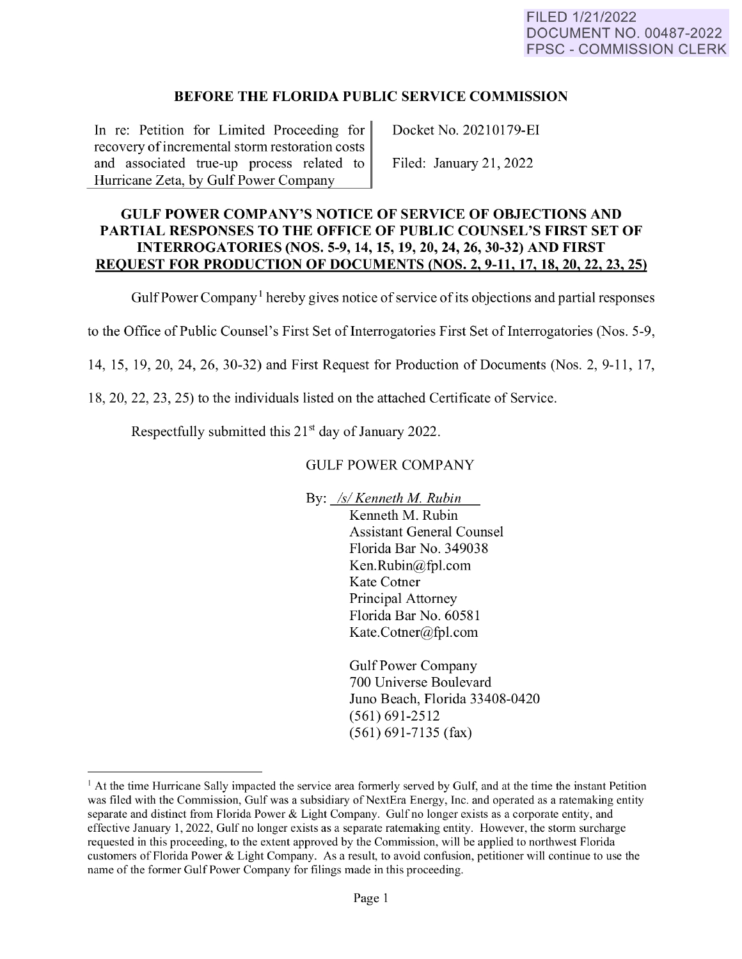## **BEFORE THE FLORIDA PUBLIC SERVICE COMMISSION**

In re: Petition for Limited Proceeding for recovery of incremental storm restoration costs and associated true-up process related to Hurricane Zeta, by Gulf Power Company

Docket No. 20210179-EI

Filed: January 21, 2022

## **GULF POWER COMPANY'S NOTICE OF SERVICE OF OBJECTIONS AND PARTIAL RESPONSES TO THE OFFICE OF PUBLIC COUNSEL'S FIRST SET OF INTERROGATORIES (NOS. 5-9, 14, 15, 19, 20, 24, 26, 30-32) AND FIRST REQUEST FOR PRODUCTION OF DOCUMENTS (NOS. 2, 9-11, 17, 18, 20, 22, 23, 25)**

Gulf Power Company<sup>1</sup> hereby gives notice of service of its objections and partial responses

to the Office of Public Counsel's First Set of Interrogatories First Set of Interrogatories (Nos. 5-9,

14, 15, 19, 20, 24, 26, 30-32) and First Request for Production of Documents (Nos. 2, 9-11, 17,

18, 20, 22, 23, 25) to the individuals listed on the attached Certificate of Service.

Respectfully submitted this  $21<sup>st</sup>$  day of January 2022.

## GULF POWER COMPANY

By: */s/ Kenneth M. Rubin* 

Kenneth M. Rubin Assistant General Counsel Florida Bar No. 349038 Ken.Rubin@fpl.com Kate Cotner Principal Attorney Florida Bar No. 60581 Kate.Cotner@fpl.com

Gulf Power Company 700 Universe Boulevard Juno Beach, Florida 33408-0420 (561) 691-2512 (561) 691-7135 (fax)

<span id="page-0-0"></span> $<sup>1</sup>$  At the time Hurricane Sally impacted the service area formerly served by Gulf, and at the time the instant Petition</sup> was filed with the Commission, Gulf was a subsidiary of NextEra Energy, Inc. and operated as a ratemaking entity separate and distinct from Florida Power & Light Company. Gulf no longer exists as a corporate entity, and effective January 1, 2022, Gulf no longer exists as a separate ratemaking entity. However, the storm surcharge requested in this proceeding, to the extent approved by the Commission, will be applied to northwest Florida customers of Florida Power & Light Company. As a result, to avoid confusion, petitioner will continue to use the name of the former Gulf Power Company for filings made in this proceeding.